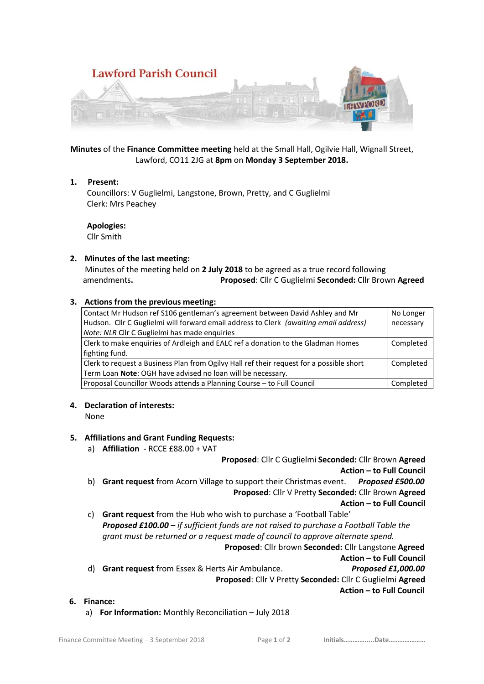

**Minutes** of the **Finance Committee meeting** held at the Small Hall, Ogilvie Hall, Wignall Street, Lawford, CO11 2JG at **8pm** on **Monday 3 September 2018.**

# **1. Present:**

 Councillors: V Guglielmi, Langstone, Brown, Pretty, and C Guglielmi Clerk: Mrs Peachey

**Apologies:**

Cllr Smith

# **2. Minutes of the last meeting:**

 Minutes of the meeting held on **2 July 2018** to be agreed as a true record following amendments**. Proposed**: Cllr C Guglielmi **Seconded:** Cllr Brown **Agreed**

# **3. Actions from the previous meeting:**

| Contact Mr Hudson ref S106 gentleman's agreement between David Ashley and Mr             | No Longer |
|------------------------------------------------------------------------------------------|-----------|
| Hudson. Cllr C Guglielmi will forward email address to Clerk (awaiting email address)    | necessary |
| Note: NLR Cllr C Guglielmi has made enquiries                                            |           |
| Clerk to make enguiries of Ardleigh and EALC ref a donation to the Gladman Homes         | Completed |
| fighting fund.                                                                           |           |
| Clerk to request a Business Plan from Ogilvy Hall ref their request for a possible short | Completed |
| Term Loan Note: OGH have advised no loan will be necessary.                              |           |
| Proposal Councillor Woods attends a Planning Course - to Full Council                    | Completed |

### **4. Declaration of interests:**

None

# **5. Affiliations and Grant Funding Requests:**

a) **Affiliation** - RCCE £88.00 + VAT **Proposed**: Cllr C Guglielmi **Seconded:** Cllr Brown **Agreed Action – to Full Council** b) **Grant request** from Acorn Village to support their Christmas event. *Proposed £500.00* **Proposed**: Cllr V Pretty **Seconded:** Cllr Brown **Agreed Action – to Full Council** c) **Grant request** from the Hub who wish to purchase a 'Football Table' *Proposed £100.00 – if sufficient funds are not raised to purchase a Football Table the grant must be returned or a request made of council to approve alternate spend.*   **Proposed**: Cllr brown **Seconded:** Cllr Langstone **Agreed Action – to Full Council** d) **Grant request** from Essex & Herts Air Ambulance. *Proposed £1,000.00*  **Proposed**: Cllr V Pretty **Seconded:** Cllr C Guglielmi **Agreed Action – to Full Council 6. Finance:**

a) **For Information:** Monthly Reconciliation – July 2018